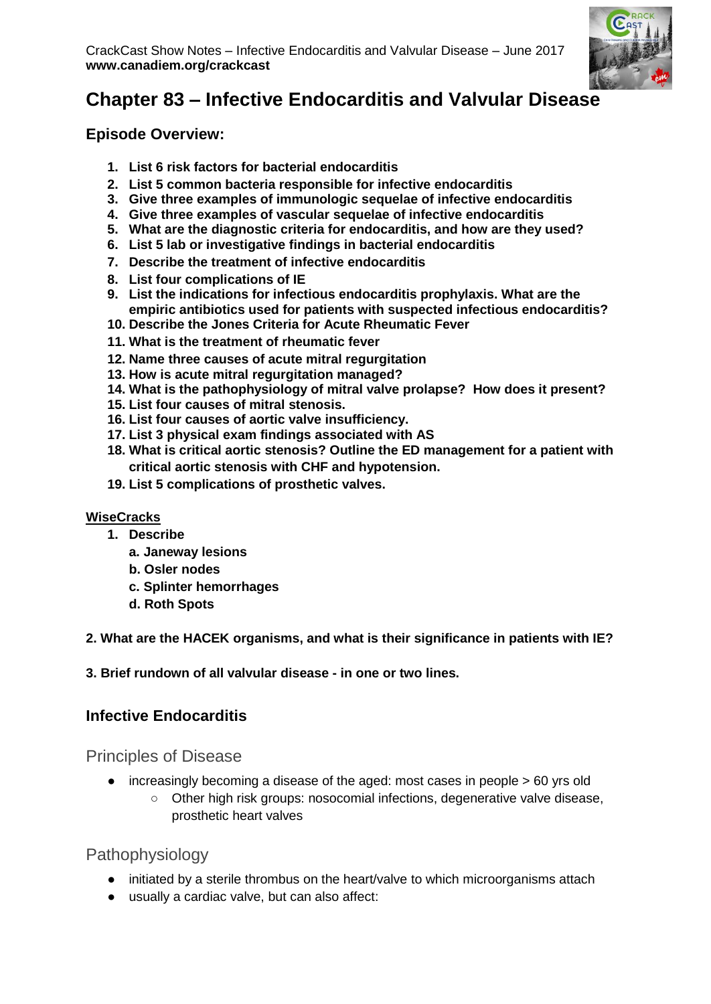

# **Chapter 83 – Infective Endocarditis and Valvular Disease**

**Episode Overview:**

- **1. List 6 risk factors for bacterial endocarditis**
- **2. List 5 common bacteria responsible for infective endocarditis**
- **3. Give three examples of immunologic sequelae of infective endocarditis**
- **4. Give three examples of vascular sequelae of infective endocarditis**
- **5. What are the diagnostic criteria for endocarditis, and how are they used?**
- **6. List 5 lab or investigative findings in bacterial endocarditis**
- **7. Describe the treatment of infective endocarditis**
- **8. List four complications of IE**
- **9. List the indications for infectious endocarditis prophylaxis. What are the empiric antibiotics used for patients with suspected infectious endocarditis?**
- **10. Describe the Jones Criteria for Acute Rheumatic Fever**
- **11. What is the treatment of rheumatic fever**
- **12. Name three causes of acute mitral regurgitation**
- **13. How is acute mitral regurgitation managed?**
- **14. What is the pathophysiology of mitral valve prolapse? How does it present?**
- **15. List four causes of mitral stenosis.**
- **16. List four causes of aortic valve insufficiency.**
- **17. List 3 physical exam findings associated with AS**
- **18. What is critical aortic stenosis? Outline the ED management for a patient with critical aortic stenosis with CHF and hypotension.**
- **19. List 5 complications of prosthetic valves.**

#### **WiseCracks**

- **1. Describe**
	- **a. Janeway lesions**
	- **b. Osler nodes**
	- **c. Splinter hemorrhages**
	- **d. Roth Spots**

#### **2. What are the HACEK organisms, and what is their significance in patients with IE?**

**3. Brief rundown of all valvular disease - in one or two lines.** 

### **Infective Endocarditis**

Principles of Disease

- increasingly becoming a disease of the aged: most cases in people > 60 yrs old
	- Other high risk groups: nosocomial infections, degenerative valve disease, prosthetic heart valves

### Pathophysiology

- initiated by a sterile thrombus on the heart/valve to which microorganisms attach
- usually a cardiac valve, but can also affect: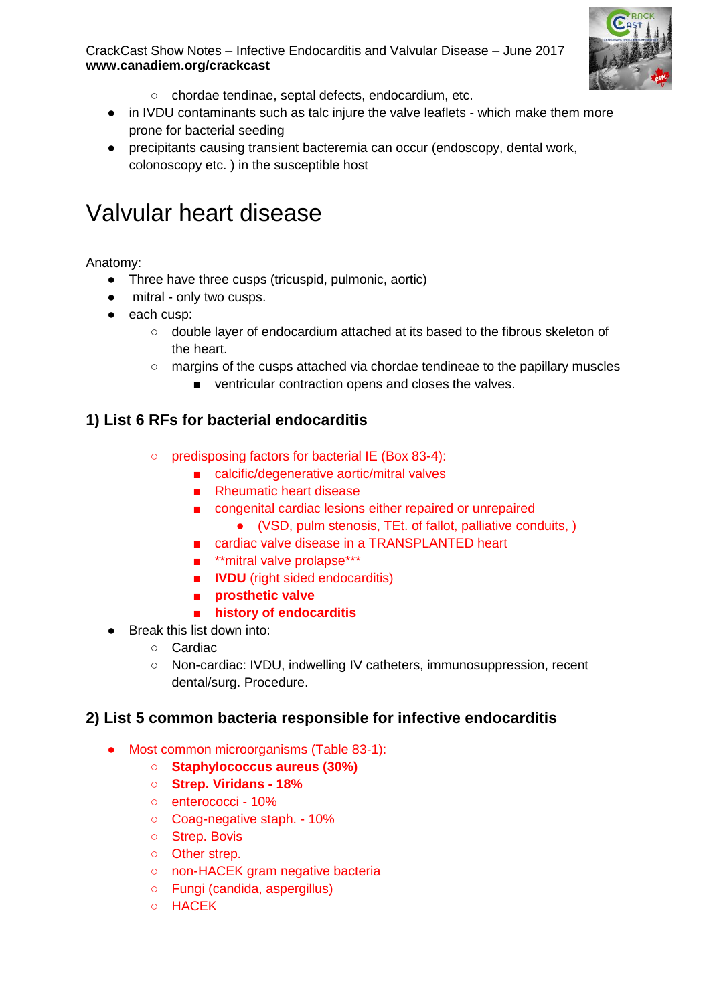

- CrackCast Show Notes Infective Endocarditis and Valvular Disease June 2017 **www.canadiem.org/crackcast**
	- chordae tendinae, septal defects, endocardium, etc.
	- in IVDU contaminants such as talc injure the valve leaflets which make them more prone for bacterial seeding
	- precipitants causing transient bacteremia can occur (endoscopy, dental work, colonoscopy etc. ) in the susceptible host

# Valvular heart disease

Anatomy:

- Three have three cusps (tricuspid, pulmonic, aortic)
- mitral only two cusps.
- each cusp:
	- double layer of endocardium attached at its based to the fibrous skeleton of the heart.
	- margins of the cusps attached via chordae tendineae to the papillary muscles
		- ventricular contraction opens and closes the valves.

#### **1) List 6 RFs for bacterial endocarditis**

- predisposing factors for bacterial IE (Box 83-4):
	- calcific/degenerative aortic/mitral valves
	- Rheumatic heart disease
	- congenital cardiac lesions either repaired or unrepaired
		- (VSD, pulm stenosis, TEt. of fallot, palliative conduits, )
	- cardiac valve disease in a TRANSPLANTED heart
	- \*\*mitral valve prolapse\*\*\*
	- **IVDU** (right sided endocarditis)
	- **prosthetic valve**
	- **history of endocarditis**
- Break this list down into:
	- Cardiac
	- Non-cardiac: IVDU, indwelling IV catheters, immunosuppression, recent dental/surg. Procedure.

#### **2) List 5 common bacteria responsible for infective endocarditis**

- Most common microorganisms (Table 83-1):
	- **Staphylococcus aureus (30%)**
	- **Strep. Viridans - 18%**
	- enterococci 10%
	- Coag-negative staph. 10%
	- Strep. Bovis
	- Other strep.
	- non-HACEK gram negative bacteria
	- Fungi (candida, aspergillus)
	- HACEK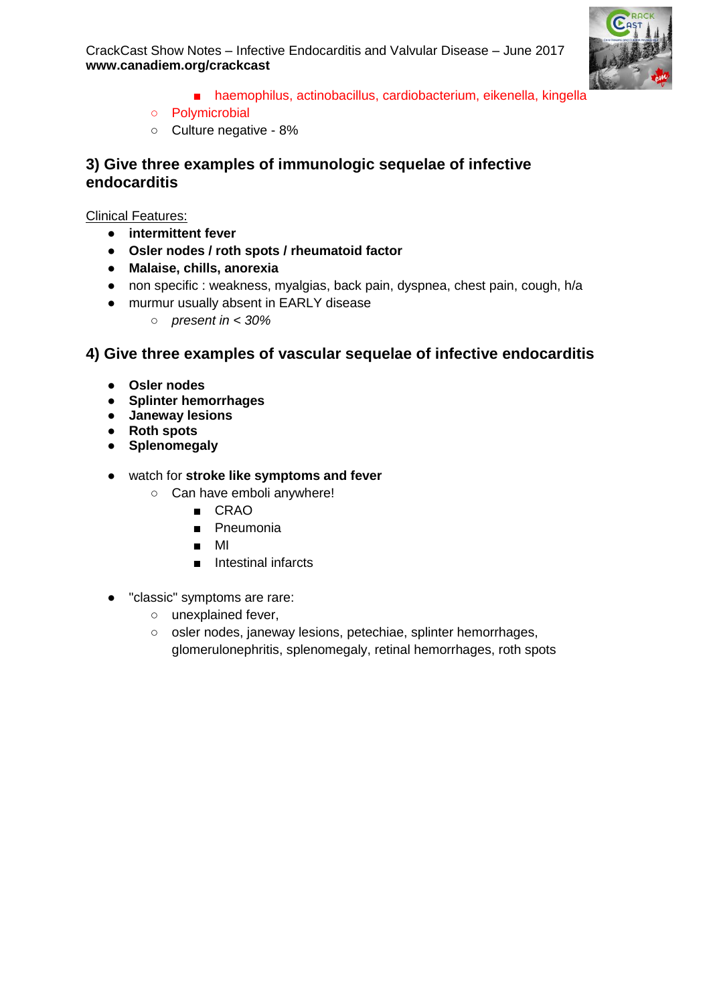



- haemophilus, actinobacillus, cardiobacterium, eikenella, kingella
- Polymicrobial
- Culture negative 8%

#### **3) Give three examples of immunologic sequelae of infective endocarditis**

Clinical Features:

- **intermittent fever**
- **Osler nodes / roth spots / rheumatoid factor**
- **Malaise, chills, anorexia**
- non specific : weakness, myalgias, back pain, dyspnea, chest pain, cough, h/a
- murmur usually absent in EARLY disease
	- *present in < 30%*

#### **4) Give three examples of vascular sequelae of infective endocarditis**

- **Osler nodes**
- **Splinter hemorrhages**
- **Janeway lesions**
- **Roth spots**
- **Splenomegaly**
- watch for **stroke like symptoms and fever**
	- Can have emboli anywhere!
		- CRAO
		- Pneumonia
		- MI
		- Intestinal infarcts
- "classic" symptoms are rare:
	- unexplained fever,
	- osler nodes, janeway lesions, petechiae, splinter hemorrhages, glomerulonephritis, splenomegaly, retinal hemorrhages, roth spots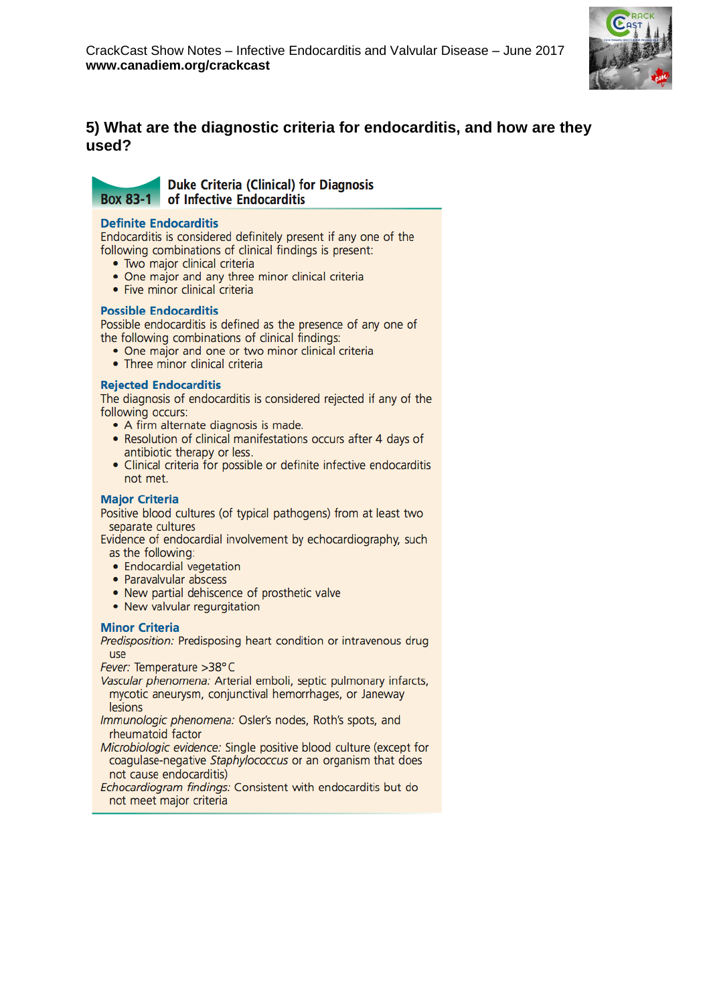

#### **5) What are the diagnostic criteria for endocarditis, and how are they used?**

### **Box 83-1**

**Duke Criteria (Clinical) for Diagnosis** of Infective Endocarditis

#### **Definite Endocarditis**

Endocarditis is considered definitely present if any one of the following combinations of clinical findings is present:

- · Two major clinical criteria
- One major and any three minor clinical criteria
- · Five minor clinical criteria

#### **Possible Endocarditis**

Possible endocarditis is defined as the presence of any one of the following combinations of clinical findings:

- One major and one or two minor clinical criteria
- Three minor clinical criteria

#### **Rejected Endocarditis**

The diagnosis of endocarditis is considered rejected if any of the following occurs:

- A firm alternate diagnosis is made.
- Resolution of clinical manifestations occurs after 4 days of antibiotic therapy or less.
- Clinical criteria for possible or definite infective endocarditis not met.

#### **Major Criteria**

Positive blood cultures (of typical pathogens) from at least two separate cultures

Evidence of endocardial involvement by echocardiography, such as the following:

- Endocardial vegetation
- Paravalvular abscess
- New partial dehiscence of prosthetic valve
- New valvular regurgitation

#### **Minor Criteria**

Predisposition: Predisposing heart condition or intravenous drug use

Fever: Temperature >38°C

- Vascular phenomena: Arterial emboli, septic pulmonary infarcts, mycotic aneurysm, conjunctival hemorrhages, or Janeway lesions
- Immunologic phenomena: Osler's nodes, Roth's spots, and rheumatoid factor
- Microbiologic evidence: Single positive blood culture (except for coagulase-negative Staphylococcus or an organism that does not cause endocarditis)
- Echocardiogram findings: Consistent with endocarditis but do not meet major criteria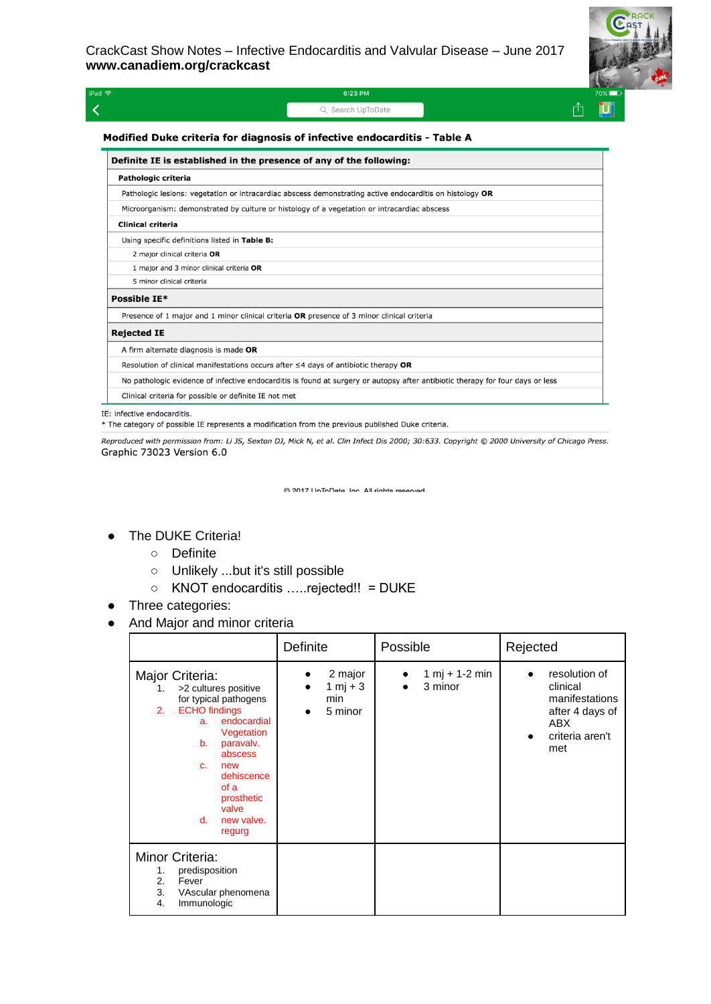

| iPad 今 | 6:23 PM           | $-20\%$ |    |
|--------|-------------------|---------|----|
|        | Q Search UpToDate |         | U, |
|        |                   |         |    |

#### Modified Duke criteria for diagnosis of infective endocarditis - Table A

| Definite IE is established in the presence of any of the following:                                                            |  |  |  |  |
|--------------------------------------------------------------------------------------------------------------------------------|--|--|--|--|
| Pathologic criteria                                                                                                            |  |  |  |  |
| Pathologic lesions: vegetation or intracardiac abscess demonstrating active endocarditis on histology OR                       |  |  |  |  |
| Microorganism: demonstrated by culture or histology of a vegetation or intracardiac abscess                                    |  |  |  |  |
| Clinical criteria                                                                                                              |  |  |  |  |
| Using specific definitions listed in Table B:                                                                                  |  |  |  |  |
| 2 major clinical criteria OR                                                                                                   |  |  |  |  |
| 1 major and 3 minor clinical criteria OR                                                                                       |  |  |  |  |
| 5 minor clinical criteria                                                                                                      |  |  |  |  |
| Possible IE*                                                                                                                   |  |  |  |  |
| Presence of 1 major and 1 minor clinical criteria OR presence of 3 minor clinical criteria                                     |  |  |  |  |
| <b>Rejected IE</b>                                                                                                             |  |  |  |  |
| A firm alternate diagnosis is made OR                                                                                          |  |  |  |  |
| Resolution of clinical manifestations occurs after $\leq$ 4 days of antibiotic therapy OR                                      |  |  |  |  |
| No pathologic evidence of infective endocarditis is found at surgery or autopsy after antibiotic therapy for four days or less |  |  |  |  |
| Clinical criteria for possible or definite IE not met                                                                          |  |  |  |  |

IE: infective endocarditis.

\* The category of possible IE represents a modification from the previous published Duke criteria.

Reproduced with permission from: Li JS, Sexton DJ, Mick N, et al. Clin Infect Dis 2000; 30:633. Copyright @ 2000 University of Chicago Press. Graphic 73023 Version 6.0

@ 2017 LinToDate Inc All rights reserved

#### ● The DUKE Criteria!

- Definite
- Unlikely ...but it's still possible
- KNOT endocarditis …..rejected!! = DUKE
- Three categories:
- And Major and minor criteria

|                                                                                                                                                                                                                                                                    | Definite                              | Possible                         | Rejected                                                                                        |
|--------------------------------------------------------------------------------------------------------------------------------------------------------------------------------------------------------------------------------------------------------------------|---------------------------------------|----------------------------------|-------------------------------------------------------------------------------------------------|
| Major Criteria:<br>>2 cultures positive<br>1.<br>for typical pathogens<br><b>ECHO</b> findings<br>2.<br>endocardial<br>a.<br>Vegetation<br>b.<br>paravalv.<br>abscess<br>$C_{n}$<br>new<br>dehiscence<br>of a<br>prosthetic<br>valve<br>new valve.<br>d.<br>regurg | 2 major<br>1 mj + 3<br>min<br>5 minor | $1 m j + 1 - 2 m j n$<br>3 minor | resolution of<br>clinical<br>manifestations<br>after 4 days of<br>ABX<br>criteria aren't<br>met |
| Minor Criteria:<br>predisposition<br>1.<br>2.<br>Fever<br>3.<br>VAscular phenomena<br>4.<br>Immunologic                                                                                                                                                            |                                       |                                  |                                                                                                 |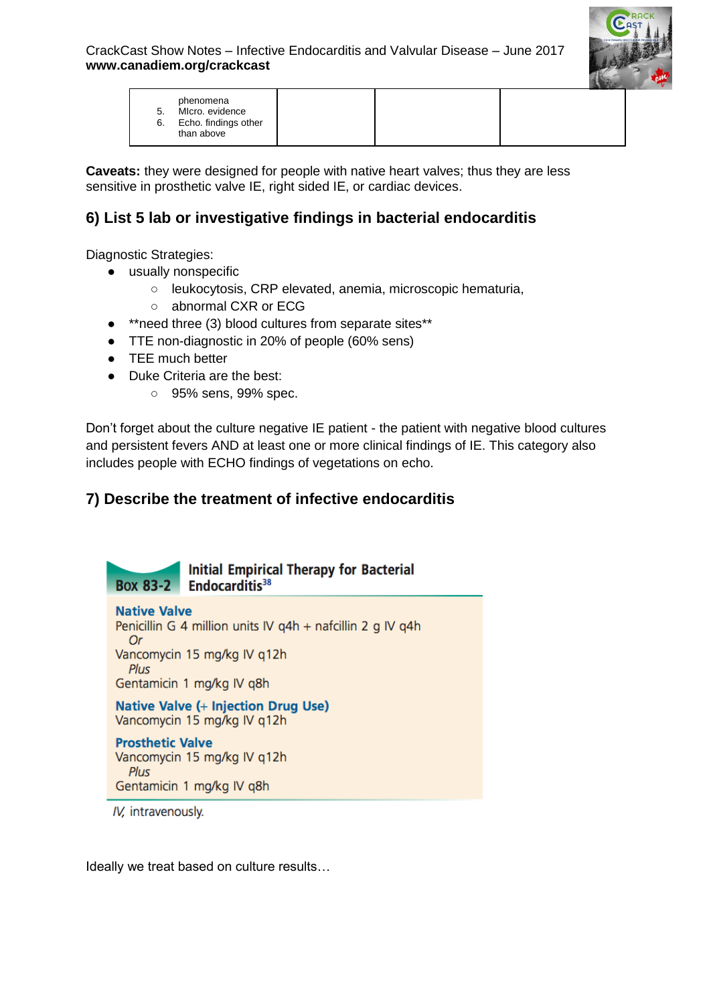

**Caveats:** they were designed for people with native heart valves; thus they are less sensitive in prosthetic valve IE, right sided IE, or cardiac devices.

# **6) List 5 lab or investigative findings in bacterial endocarditis**

Diagnostic Strategies:

- usually nonspecific
	- leukocytosis, CRP elevated, anemia, microscopic hematuria,
	- abnormal CXR or ECG
- \*\*need three (3) blood cultures from separate sites\*\*
- TTE non-diagnostic in 20% of people (60% sens)
- TEE much better
- Duke Criteria are the best:
	- 95% sens, 99% spec.

Don't forget about the culture negative IE patient - the patient with negative blood cultures and persistent fevers AND at least one or more clinical findings of IE. This category also includes people with ECHO findings of vegetations on echo.

## **7) Describe the treatment of infective endocarditis**



IV, intravenously.

Ideally we treat based on culture results…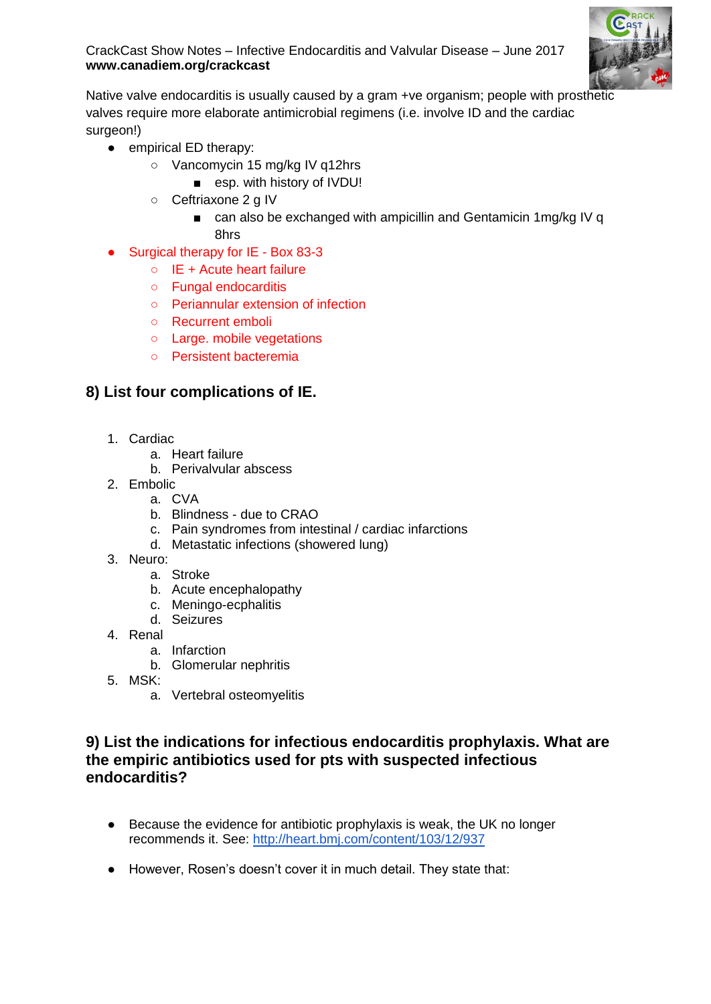

Native valve endocarditis is usually caused by a gram +ve organism; people with prosthetic valves require more elaborate antimicrobial regimens (i.e. involve ID and the cardiac surgeon!)

- empirical ED therapy:
	- Vancomycin 15 mg/kg IV q12hrs
		- esp. with history of IVDU!
	- Ceftriaxone 2 g IV
		- can also be exchanged with ampicillin and Gentamicin 1mg/kg IV q 8hrs
- Surgical therapy for IE Box 83-3
	- IE + Acute heart failure
	- Fungal endocarditis
	- Periannular extension of infection
	- Recurrent emboli
	- Large. mobile vegetations
	- Persistent bacteremia

### **8) List four complications of IE.**

- 1. Cardiac
	- a. Heart failure
	- b. Perivalvular abscess
- 2. Embolic
	- a. CVA
	- b. Blindness due to CRAO
	- c. Pain syndromes from intestinal / cardiac infarctions
	- d. Metastatic infections (showered lung)
- 3. Neuro:
	- a. Stroke
	- b. Acute encephalopathy
	- c. Meningo-ecphalitis
	- d. Seizures
- 4. Renal
	- a. Infarction
	- b. Glomerular nephritis
- 5. MSK:
	- a. Vertebral osteomyelitis

#### **9) List the indications for infectious endocarditis prophylaxis. What are the empiric antibiotics used for pts with suspected infectious endocarditis?**

- Because the evidence for antibiotic prophylaxis is weak, the UK no longer recommends it. See:<http://heart.bmj.com/content/103/12/937>
- However, Rosen's doesn't cover it in much detail. They state that: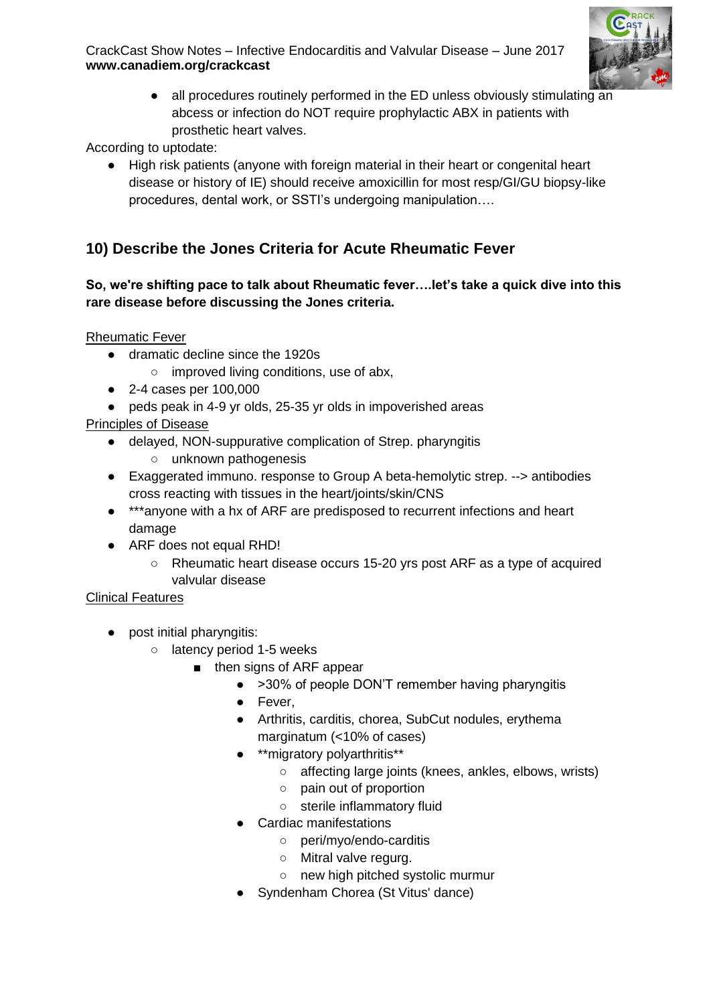

• all procedures routinely performed in the ED unless obviously stimulating an abcess or infection do NOT require prophylactic ABX in patients with prosthetic heart valves.

According to uptodate:

● High risk patients (anyone with foreign material in their heart or congenital heart disease or history of IE) should receive amoxicillin for most resp/GI/GU biopsy-like procedures, dental work, or SSTI's undergoing manipulation….

## **10) Describe the Jones Criteria for Acute Rheumatic Fever**

#### **So, we're shifting pace to talk about Rheumatic fever….let's take a quick dive into this rare disease before discussing the Jones criteria.**

Rheumatic Fever

- dramatic decline since the 1920s
	- improved living conditions, use of abx,
- 2-4 cases per 100,000
- peds peak in 4-9 yr olds, 25-35 yr olds in impoverished areas

Principles of Disease

- delayed, NON-suppurative complication of Strep. pharyngitis ○ unknown pathogenesis
- Exaggerated immuno. response to Group A beta-hemolytic strep. --> antibodies cross reacting with tissues in the heart/joints/skin/CNS
- \*\*\*anyone with a hx of ARF are predisposed to recurrent infections and heart damage
- ARF does not equal RHD!
	- Rheumatic heart disease occurs 15-20 yrs post ARF as a type of acquired valvular disease

#### Clinical Features

- post initial pharyngitis:
	- o latency period 1-5 weeks
		- then signs of ARF appear
			- >30% of people DON'T remember having pharyngitis
			- Fever,
			- Arthritis, carditis, chorea, SubCut nodules, erythema marginatum (<10% of cases)
			- \*\*migratory polyarthritis\*\*
				- affecting large joints (knees, ankles, elbows, wrists)
				- pain out of proportion
				- sterile inflammatory fluid
			- Cardiac manifestations
				- peri/myo/endo-carditis
				- Mitral valve regurg.
				- new high pitched systolic murmur
			- Syndenham Chorea (St Vitus' dance)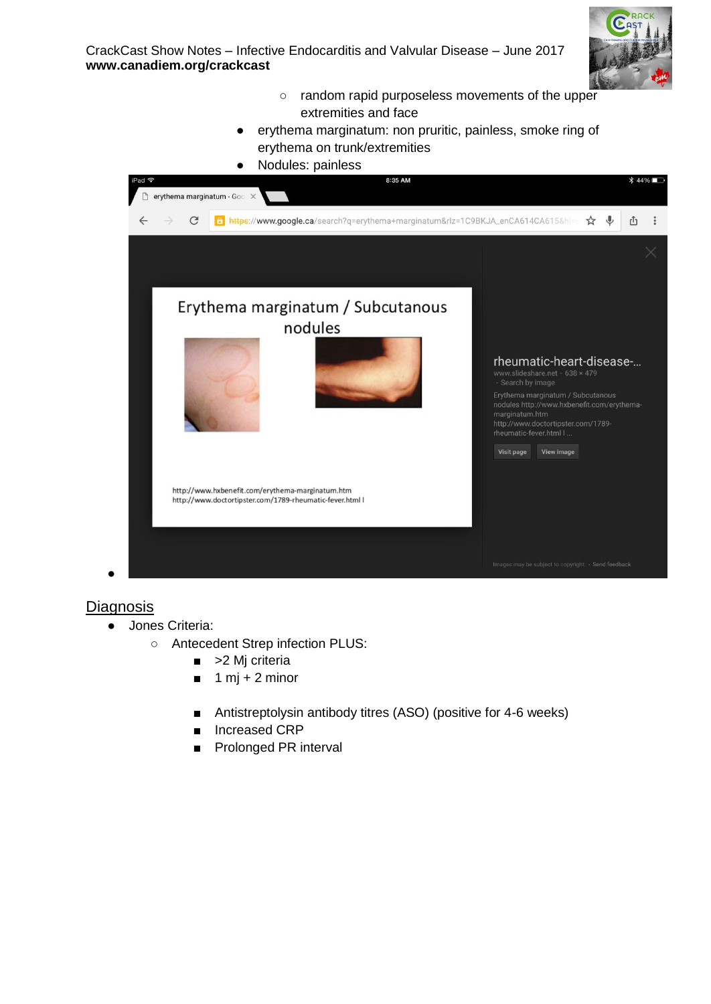

- random rapid purposeless movements of the upper extremities and face
- erythema marginatum: non pruritic, painless, smoke ring of erythema on trunk/extremities



#### **Diagnosis**

- Jones Criteria:
	- Antecedent Strep infection PLUS:
		- > 2 Mj criteria
		- $\blacksquare$  1 mj + 2 minor
		- Antistreptolysin antibody titres (ASO) (positive for 4-6 weeks)
		- Increased CRP
		- **Prolonged PR interval**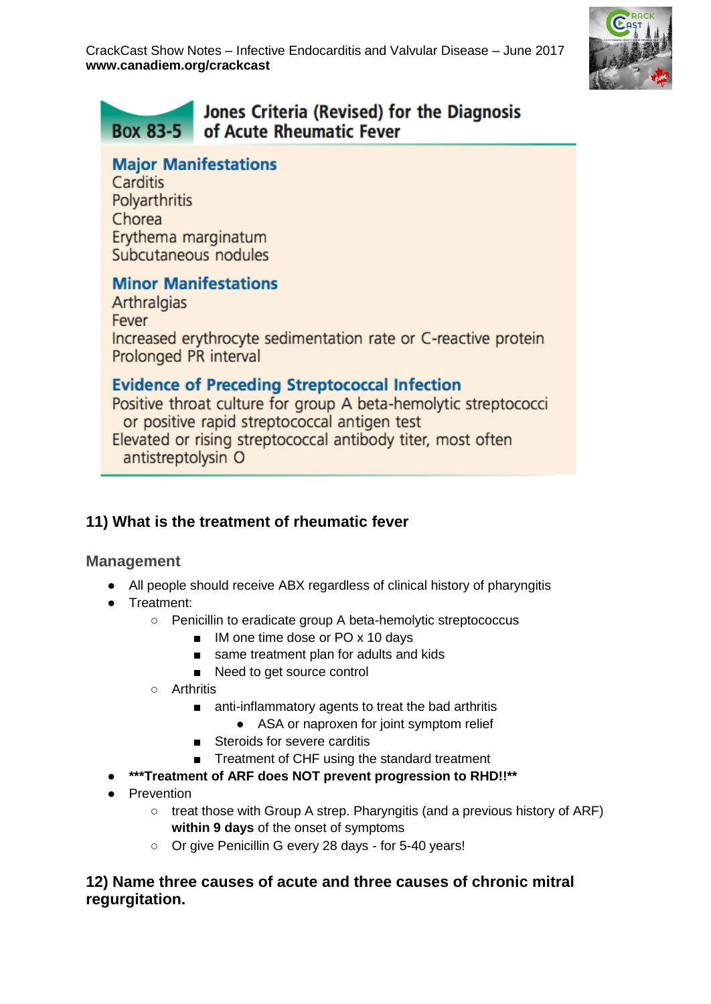

#### Jones Criteria (Revised) for the Diagnosis **Box 83-5** of Acute Rheumatic Fever

### **Major Manifestations**

Carditis **Polvarthritis** Chorea Erythema marginatum Subcutaneous nodules

# **Minor Manifestations**

**Arthralgias** Fever Increased erythrocyte sedimentation rate or C-reactive protein Prolonged PR interval

# **Evidence of Preceding Streptococcal Infection**

Positive throat culture for group A beta-hemolytic streptococci or positive rapid streptococcal antigen test Elevated or rising streptococcal antibody titer, most often antistreptolysin O

# **11) What is the treatment of rheumatic fever**

### **Management**

- All people should receive ABX regardless of clinical history of pharyngitis
- Treatment:
	- Penicillin to eradicate group A beta-hemolytic streptococcus
		- IM one time dose or PO x 10 days
		- same treatment plan for adults and kids
		- Need to get source control
		- Arthritis
			- anti-inflammatory agents to treat the bad arthritis
				- ASA or naproxen for joint symptom relief
			- Steroids for severe carditis
			- Treatment of CHF using the standard treatment
- \*\*\*Treatment of ARF does NOT prevent progression to RHD!!\*\*
- **Prevention** 
	- treat those with Group A strep. Pharyngitis (and a previous history of ARF) **within 9 days** of the onset of symptoms
	- Or give Penicillin G every 28 days for 5-40 years!

#### **12) Name three causes of acute and three causes of chronic mitral regurgitation.**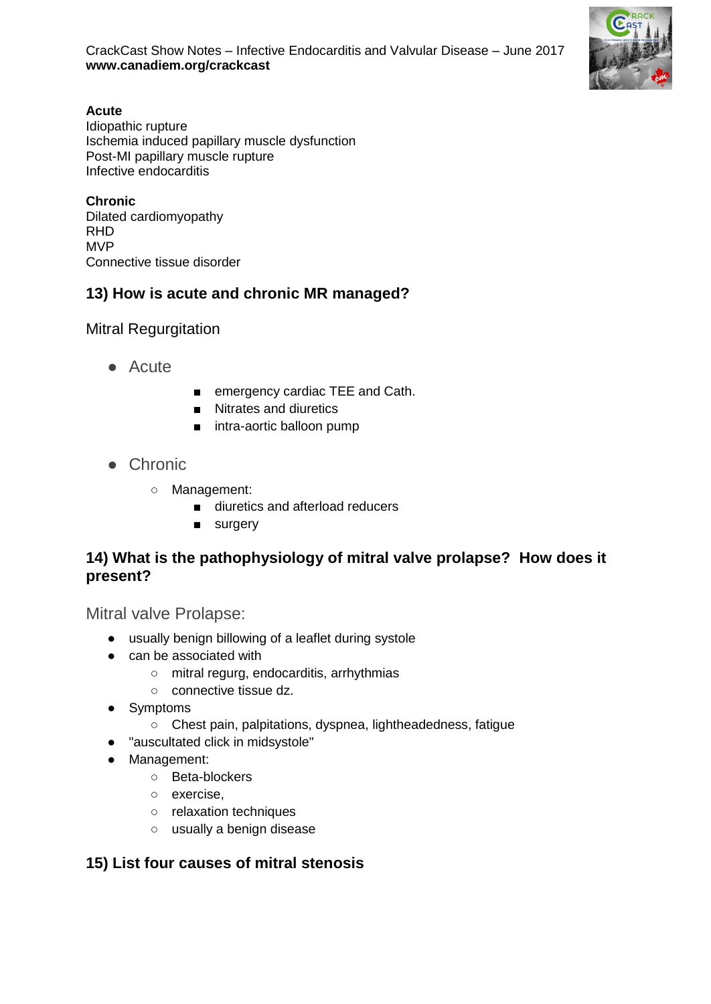

#### **Acute**

Idiopathic rupture Ischemia induced papillary muscle dysfunction Post-MI papillary muscle rupture Infective endocarditis

**Chronic** Dilated cardiomyopathy RHD MVP Connective tissue disorder

### **13) How is acute and chronic MR managed?**

Mitral Regurgitation

- Acute
- emergency cardiac TEE and Cath.
- Nitrates and diuretics
- intra-aortic balloon pump
- Chronic
	- Management:
		- diuretics and afterload reducers
		- surgery

### **14) What is the pathophysiology of mitral valve prolapse? How does it present?**

Mitral valve Prolapse:

- usually benign billowing of a leaflet during systole
- can be associated with
	- mitral regurg, endocarditis, arrhythmias
	- connective tissue dz.
- Symptoms
	- Chest pain, palpitations, dyspnea, lightheadedness, fatigue
- "auscultated click in midsystole"
- Management:
	- Beta-blockers
	- exercise,
	- relaxation techniques
	- usually a benign disease

### **15) List four causes of mitral stenosis**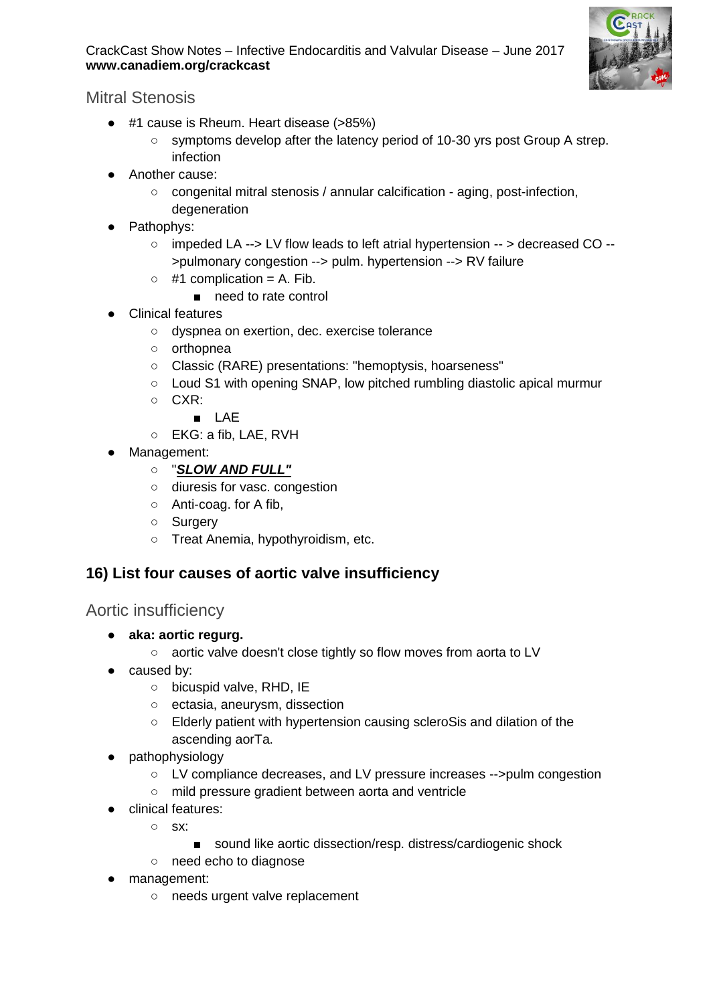

Mitral Stenosis

- #1 cause is Rheum. Heart disease (>85%)
	- symptoms develop after the latency period of 10-30 yrs post Group A strep. infection
- Another cause:
	- congenital mitral stenosis / annular calcification aging, post-infection, degeneration
- Pathophys:
	- impeded LA --> LV flow leads to left atrial hypertension -- > decreased CO -- >pulmonary congestion --> pulm. hypertension --> RV failure
	- $\circ$  #1 complication = A. Fib.
		- need to rate control
- Clinical features
	- dyspnea on exertion, dec. exercise tolerance
	- orthopnea
	- Classic (RARE) presentations: "hemoptysis, hoarseness"
	- Loud S1 with opening SNAP, low pitched rumbling diastolic apical murmur
	- CXR:
		- LAE
	- EKG: a fib, LAE, RVH
- Management:
	- "*SLOW AND FULL"*
	- diuresis for vasc. congestion
	- Anti-coag. for A fib,
	- Surgery
	- Treat Anemia, hypothyroidism, etc.

### **16) List four causes of aortic valve insufficiency**

### Aortic insufficiency

- **aka: aortic regurg.**
	- aortic valve doesn't close tightly so flow moves from aorta to LV
- caused by:
	- o bicuspid valve, RHD, IE
	- ectasia, aneurysm, dissection
	- Elderly patient with hypertension causing scleroSis and dilation of the ascending aorTa.
- pathophysiology
	- LV compliance decreases, and LV pressure increases -->pulm congestion
	- mild pressure gradient between aorta and ventricle
- clinical features:
	- sx:
		- sound like aortic dissection/resp. distress/cardiogenic shock
	- o need echo to diagnose
- management:
	- needs urgent valve replacement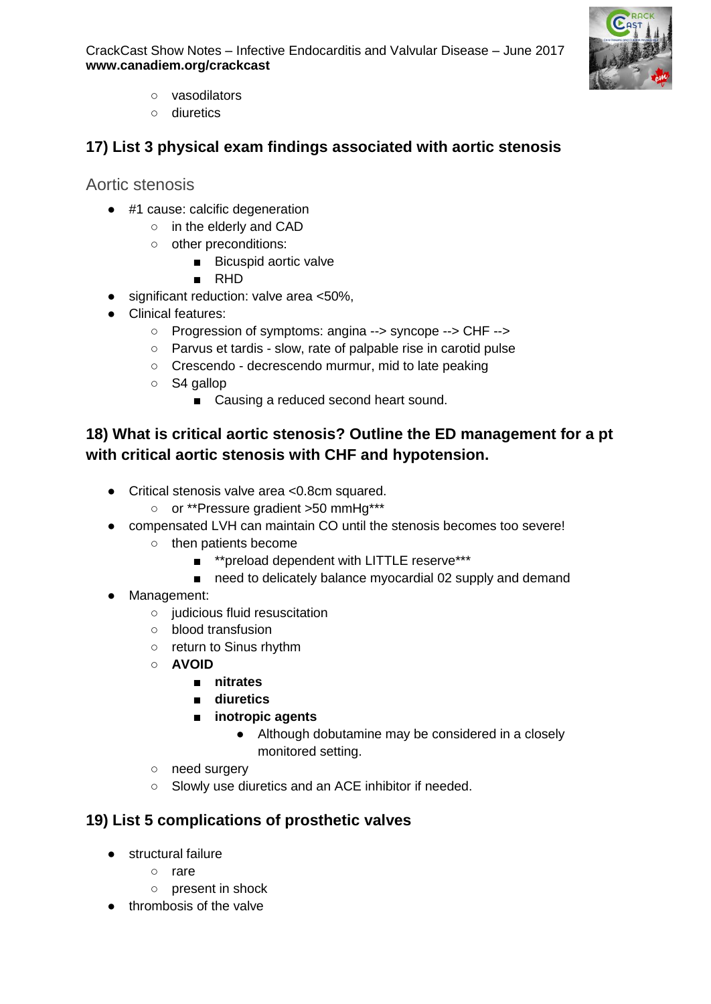

- vasodilators
- diuretics

# **17) List 3 physical exam findings associated with aortic stenosis**

Aortic stenosis

- #1 cause: calcific degeneration
	- o in the elderly and CAD
		- other preconditions:
			- Bicuspid aortic valve
			- RHD
- significant reduction: valve area <50%.
- Clinical features:
	- Progression of symptoms: angina --> syncope --> CHF -->
	- Parvus et tardis slow, rate of palpable rise in carotid pulse
	- Crescendo decrescendo murmur, mid to late peaking
	- S4 gallop
		- Causing a reduced second heart sound.

## **18) What is critical aortic stenosis? Outline the ED management for a pt with critical aortic stenosis with CHF and hypotension.**

- Critical stenosis valve area <0.8cm squared.
	- or \*\*Pressure gradient >50 mmHg\*\*\*
- compensated LVH can maintain CO until the stenosis becomes too severe!
	- then patients become
		- \*\*preload dependent with LITTLE reserve\*\*\*
		- need to delicately balance myocardial 02 supply and demand
- Management:
	- judicious fluid resuscitation
	- blood transfusion
	- return to Sinus rhythm
	- **AVOID**
		- **nitrates**
		- **diuretics**
		- **inotropic agents** 
			- Although dobutamine may be considered in a closely monitored setting.
	- need surgery
	- Slowly use diuretics and an ACE inhibitor if needed.

### **19) List 5 complications of prosthetic valves**

- structural failure
	- rare
	- present in shock
- thrombosis of the valve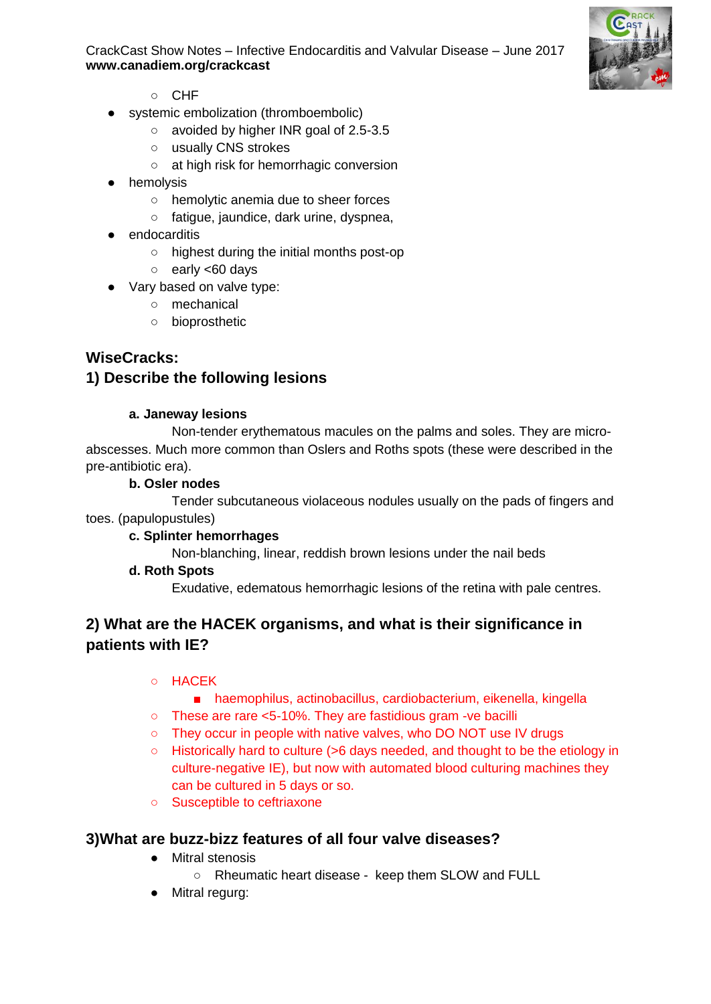

- CHF
- systemic embolization (thromboembolic)
	- avoided by higher INR goal of 2.5-3.5
	- usually CNS strokes
	- at high risk for hemorrhagic conversion
- hemolysis
	- hemolytic anemia due to sheer forces
	- fatigue, jaundice, dark urine, dyspnea,
- endocarditis
	- highest during the initial months post-op
	- early <60 days
- Vary based on valve type:
	- mechanical
	- bioprosthetic

### **WiseCracks:**

#### **1) Describe the following lesions**

#### **a. Janeway lesions**

Non-tender erythematous macules on the palms and soles. They are microabscesses. Much more common than Oslers and Roths spots (these were described in the pre-antibiotic era).

#### **b. Osler nodes**

Tender subcutaneous violaceous nodules usually on the pads of fingers and toes. (papulopustules)

#### **c. Splinter hemorrhages**

Non-blanching, linear, reddish brown lesions under the nail beds

#### **d. Roth Spots**

Exudative, edematous hemorrhagic lesions of the retina with pale centres.

## **2) What are the HACEK organisms, and what is their significance in patients with IE?**

#### ○ HACEK

- haemophilus, actinobacillus, cardiobacterium, eikenella, kingella
- These are rare <5-10%. They are fastidious gram -ve bacilli
- They occur in people with native valves, who DO NOT use IV drugs
- Historically hard to culture (>6 days needed, and thought to be the etiology in culture-negative IE), but now with automated blood culturing machines they can be cultured in 5 days or so.
- Susceptible to ceftriaxone

#### **3)What are buzz-bizz features of all four valve diseases?**

- Mitral stenosis
	- Rheumatic heart disease keep them SLOW and FULL
- Mitral regurg: